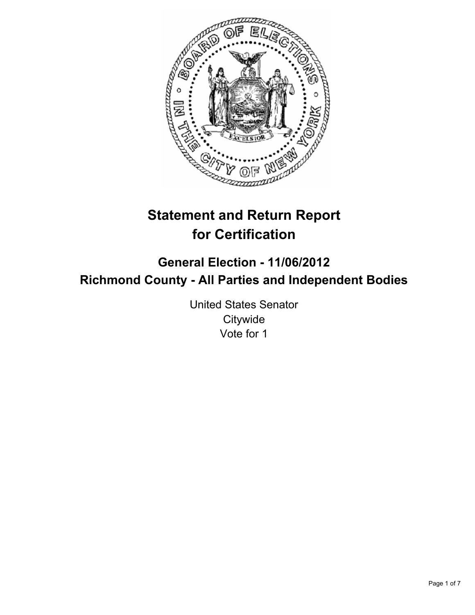

# **Statement and Return Report for Certification**

## **General Election - 11/06/2012 Richmond County - All Parties and Independent Bodies**

United States Senator **Citywide** Vote for 1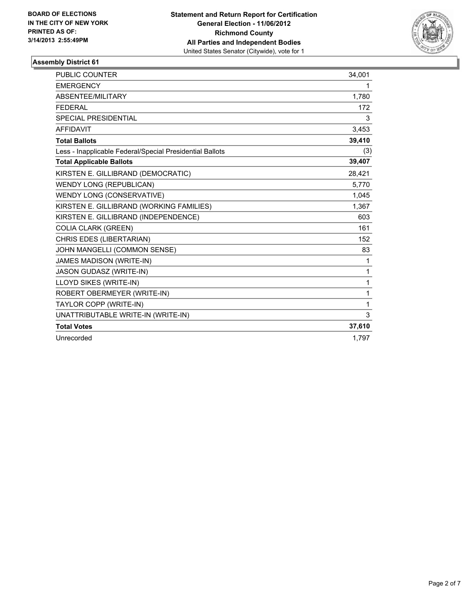

| <b>PUBLIC COUNTER</b>                                    | 34,001 |
|----------------------------------------------------------|--------|
| <b>EMERGENCY</b>                                         | 1.     |
| ABSENTEE/MILITARY                                        | 1,780  |
| <b>FEDERAL</b>                                           | 172    |
| <b>SPECIAL PRESIDENTIAL</b>                              | 3      |
| <b>AFFIDAVIT</b>                                         | 3,453  |
| <b>Total Ballots</b>                                     | 39,410 |
| Less - Inapplicable Federal/Special Presidential Ballots | (3)    |
| <b>Total Applicable Ballots</b>                          | 39,407 |
| KIRSTEN E. GILLIBRAND (DEMOCRATIC)                       | 28,421 |
| <b>WENDY LONG (REPUBLICAN)</b>                           | 5,770  |
| WENDY LONG (CONSERVATIVE)                                | 1,045  |
| KIRSTEN E. GILLIBRAND (WORKING FAMILIES)                 | 1,367  |
| KIRSTEN E. GILLIBRAND (INDEPENDENCE)                     | 603    |
| <b>COLIA CLARK (GREEN)</b>                               | 161    |
| CHRIS EDES (LIBERTARIAN)                                 | 152    |
| JOHN MANGELLI (COMMON SENSE)                             | 83     |
| JAMES MADISON (WRITE-IN)                                 | 1      |
| <b>JASON GUDASZ (WRITE-IN)</b>                           | 1      |
| LLOYD SIKES (WRITE-IN)                                   | 1      |
| ROBERT OBERMEYER (WRITE-IN)                              | 1      |
| TAYLOR COPP (WRITE-IN)                                   | 1      |
| UNATTRIBUTABLE WRITE-IN (WRITE-IN)                       | 3      |
| <b>Total Votes</b>                                       | 37,610 |
| Unrecorded                                               | 1.797  |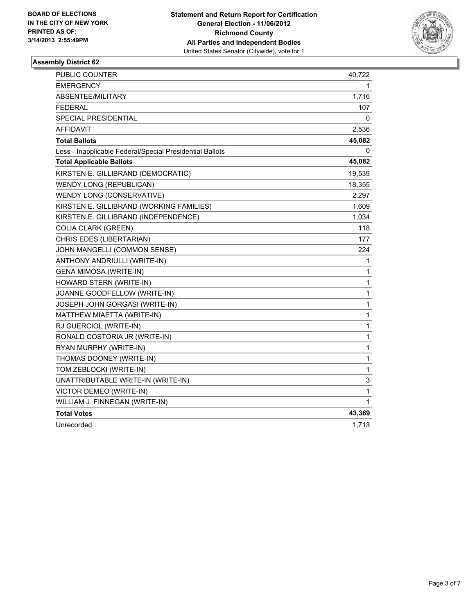

| PUBLIC COUNTER                                           | 40,722       |
|----------------------------------------------------------|--------------|
| <b>EMERGENCY</b>                                         | 1.           |
| ABSENTEE/MILITARY                                        | 1,716        |
| <b>FEDERAL</b>                                           | 107          |
| SPECIAL PRESIDENTIAL                                     | 0            |
| <b>AFFIDAVIT</b>                                         | 2,536        |
| <b>Total Ballots</b>                                     | 45,082       |
| Less - Inapplicable Federal/Special Presidential Ballots | 0            |
| <b>Total Applicable Ballots</b>                          | 45,082       |
| KIRSTEN E. GILLIBRAND (DEMOCRATIC)                       | 19,539       |
| WENDY LONG (REPUBLICAN)                                  | 18,355       |
| WENDY LONG (CONSERVATIVE)                                | 2,297        |
| KIRSTEN E. GILLIBRAND (WORKING FAMILIES)                 | 1,609        |
| KIRSTEN E. GILLIBRAND (INDEPENDENCE)                     | 1,034        |
| <b>COLIA CLARK (GREEN)</b>                               | 118          |
| CHRIS EDES (LIBERTARIAN)                                 | 177          |
| JOHN MANGELLI (COMMON SENSE)                             | 224          |
| ANTHONY ANDRIULLI (WRITE-IN)                             | 1            |
| <b>GENA MIMOSA (WRITE-IN)</b>                            | 1            |
| HOWARD STERN (WRITE-IN)                                  | $\mathbf{1}$ |
| JOANNE GOODFELLOW (WRITE-IN)                             | 1            |
| JOSEPH JOHN GORGASI (WRITE-IN)                           | 1            |
| MATTHEW MIAETTA (WRITE-IN)                               | $\mathbf{1}$ |
| RJ GUERCIOL (WRITE-IN)                                   | $\mathbf{1}$ |
| RONALD COSTORIA JR (WRITE-IN)                            | 1            |
| RYAN MURPHY (WRITE-IN)                                   | 1            |
| THOMAS DOONEY (WRITE-IN)                                 | $\mathbf{1}$ |
| TOM ZEBLOCKI (WRITE-IN)                                  | $\mathbf{1}$ |
| UNATTRIBUTABLE WRITE-IN (WRITE-IN)                       | 3            |
| VICTOR DEMEO (WRITE-IN)                                  | 1            |
| WILLIAM J. FINNEGAN (WRITE-IN)                           | 1            |
| <b>Total Votes</b>                                       | 43,369       |
| Unrecorded                                               | 1,713        |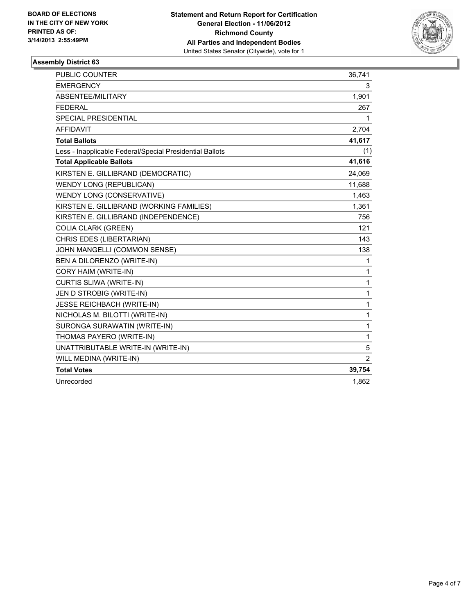

| <b>PUBLIC COUNTER</b>                                    | 36,741         |
|----------------------------------------------------------|----------------|
| <b>EMERGENCY</b>                                         | 3              |
| ABSENTEE/MILITARY                                        | 1,901          |
| <b>FEDERAL</b>                                           | 267            |
| <b>SPECIAL PRESIDENTIAL</b>                              | 1              |
| <b>AFFIDAVIT</b>                                         | 2,704          |
| <b>Total Ballots</b>                                     | 41,617         |
| Less - Inapplicable Federal/Special Presidential Ballots | (1)            |
| <b>Total Applicable Ballots</b>                          | 41,616         |
| KIRSTEN E. GILLIBRAND (DEMOCRATIC)                       | 24,069         |
| <b>WENDY LONG (REPUBLICAN)</b>                           | 11,688         |
| WENDY LONG (CONSERVATIVE)                                | 1,463          |
| KIRSTEN E. GILLIBRAND (WORKING FAMILIES)                 | 1,361          |
| KIRSTEN E. GILLIBRAND (INDEPENDENCE)                     | 756            |
| <b>COLIA CLARK (GREEN)</b>                               | 121            |
| CHRIS EDES (LIBERTARIAN)                                 | 143            |
| JOHN MANGELLI (COMMON SENSE)                             | 138            |
| BEN A DILORENZO (WRITE-IN)                               | 1              |
| CORY HAIM (WRITE-IN)                                     | 1              |
| CURTIS SLIWA (WRITE-IN)                                  | 1              |
| JEN D STROBIG (WRITE-IN)                                 | 1              |
| <b>JESSE REICHBACH (WRITE-IN)</b>                        | 1              |
| NICHOLAS M. BILOTTI (WRITE-IN)                           | 1              |
| SURONGA SURAWATIN (WRITE-IN)                             | 1              |
| THOMAS PAYERO (WRITE-IN)                                 | 1              |
| UNATTRIBUTABLE WRITE-IN (WRITE-IN)                       | 5              |
| WILL MEDINA (WRITE-IN)                                   | $\overline{2}$ |
| <b>Total Votes</b>                                       | 39,754         |
| Unrecorded                                               | 1,862          |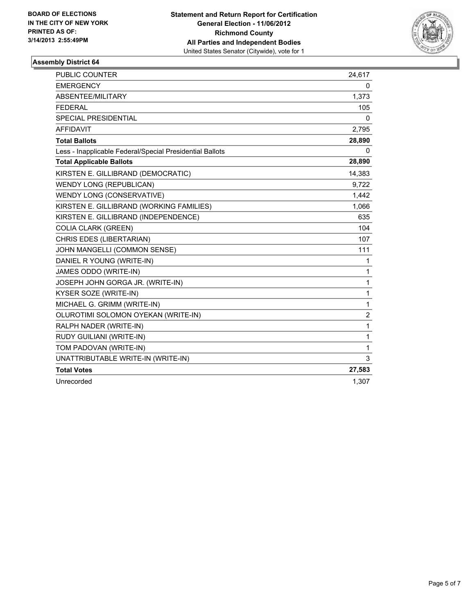

| <b>PUBLIC COUNTER</b>                                    | 24,617         |
|----------------------------------------------------------|----------------|
| <b>EMERGENCY</b>                                         | 0              |
| ABSENTEE/MILITARY                                        | 1,373          |
| <b>FEDERAL</b>                                           | 105            |
| <b>SPECIAL PRESIDENTIAL</b>                              | 0              |
| <b>AFFIDAVIT</b>                                         | 2,795          |
| <b>Total Ballots</b>                                     | 28,890         |
| Less - Inapplicable Federal/Special Presidential Ballots | 0              |
| <b>Total Applicable Ballots</b>                          | 28,890         |
| KIRSTEN E. GILLIBRAND (DEMOCRATIC)                       | 14,383         |
| WENDY LONG (REPUBLICAN)                                  | 9,722          |
| WENDY LONG (CONSERVATIVE)                                | 1,442          |
| KIRSTEN E. GILLIBRAND (WORKING FAMILIES)                 | 1,066          |
| KIRSTEN E. GILLIBRAND (INDEPENDENCE)                     | 635            |
| <b>COLIA CLARK (GREEN)</b>                               | 104            |
| CHRIS EDES (LIBERTARIAN)                                 | 107            |
| JOHN MANGELLI (COMMON SENSE)                             | 111            |
| DANIEL R YOUNG (WRITE-IN)                                | 1              |
| JAMES ODDO (WRITE-IN)                                    | 1              |
| JOSEPH JOHN GORGA JR. (WRITE-IN)                         | 1              |
| KYSER SOZE (WRITE-IN)                                    | 1              |
| MICHAEL G. GRIMM (WRITE-IN)                              | 1              |
| OLUROTIMI SOLOMON OYEKAN (WRITE-IN)                      | $\overline{2}$ |
| RALPH NADER (WRITE-IN)                                   | $\mathbf{1}$   |
| RUDY GUILIANI (WRITE-IN)                                 | 1              |
| TOM PADOVAN (WRITE-IN)                                   | 1              |
| UNATTRIBUTABLE WRITE-IN (WRITE-IN)                       | 3              |
| <b>Total Votes</b>                                       | 27,583         |
| Unrecorded                                               | 1,307          |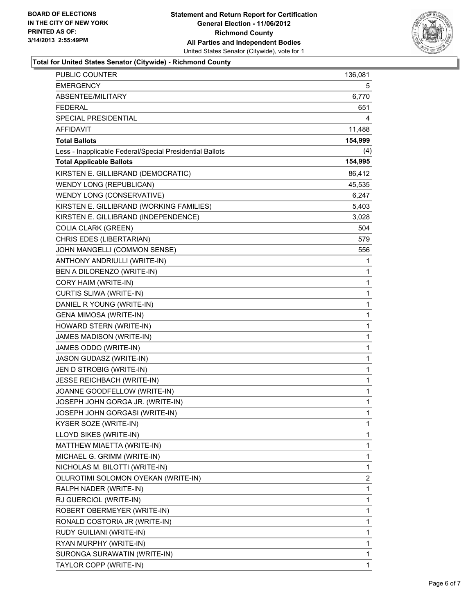

#### **Total for United States Senator (Citywide) - Richmond County**

| <b>EMERGENCY</b><br>5<br>ABSENTEE/MILITARY<br>6,770<br><b>FEDERAL</b><br>651<br>SPECIAL PRESIDENTIAL<br>4<br><b>AFFIDAVIT</b><br>11,488<br>154,999<br><b>Total Ballots</b><br>(4)<br>Less - Inapplicable Federal/Special Presidential Ballots<br>154,995<br><b>Total Applicable Ballots</b><br>KIRSTEN E. GILLIBRAND (DEMOCRATIC)<br>86,412<br>WENDY LONG (REPUBLICAN)<br>45,535<br>WENDY LONG (CONSERVATIVE)<br>6,247<br>KIRSTEN E. GILLIBRAND (WORKING FAMILIES)<br>5,403<br>KIRSTEN E. GILLIBRAND (INDEPENDENCE)<br>3,028<br><b>COLIA CLARK (GREEN)</b><br>504<br>CHRIS EDES (LIBERTARIAN)<br>579<br>JOHN MANGELLI (COMMON SENSE)<br>556<br>ANTHONY ANDRIULLI (WRITE-IN)<br>1<br>BEN A DILORENZO (WRITE-IN)<br>1<br>CORY HAIM (WRITE-IN)<br>$\mathbf 1$<br>$\mathbf 1$<br>CURTIS SLIWA (WRITE-IN)<br>DANIEL R YOUNG (WRITE-IN)<br>1<br><b>GENA MIMOSA (WRITE-IN)</b><br>$\mathbf 1$<br>HOWARD STERN (WRITE-IN)<br>$\mathbf 1$<br>JAMES MADISON (WRITE-IN)<br>1<br>JAMES ODDO (WRITE-IN)<br>$\mathbf{1}$<br>$\mathbf 1$<br>JASON GUDASZ (WRITE-IN)<br>JEN D STROBIG (WRITE-IN)<br>1<br><b>JESSE REICHBACH (WRITE-IN)</b><br>$\mathbf 1$<br>JOANNE GOODFELLOW (WRITE-IN)<br>$\mathbf 1$<br>JOSEPH JOHN GORGA JR. (WRITE-IN)<br>1<br>JOSEPH JOHN GORGASI (WRITE-IN)<br>1<br>1<br>KYSER SOZE (WRITE-IN)<br>LLOYD SIKES (WRITE-IN)<br>1<br>1<br>MATTHEW MIAETTA (WRITE-IN)<br>MICHAEL G. GRIMM (WRITE-IN)<br>1<br>NICHOLAS M. BILOTTI (WRITE-IN)<br>1<br>OLUROTIMI SOLOMON OYEKAN (WRITE-IN)<br>2<br>1<br>RALPH NADER (WRITE-IN)<br>RJ GUERCIOL (WRITE-IN)<br>1<br>ROBERT OBERMEYER (WRITE-IN)<br>1<br>1<br>RONALD COSTORIA JR (WRITE-IN)<br>1<br>RUDY GUILIANI (WRITE-IN)<br>1<br>RYAN MURPHY (WRITE-IN)<br>SURONGA SURAWATIN (WRITE-IN)<br>$\mathbf 1$<br>TAYLOR COPP (WRITE-IN)<br>1 | PUBLIC COUNTER | 136,081 |
|---------------------------------------------------------------------------------------------------------------------------------------------------------------------------------------------------------------------------------------------------------------------------------------------------------------------------------------------------------------------------------------------------------------------------------------------------------------------------------------------------------------------------------------------------------------------------------------------------------------------------------------------------------------------------------------------------------------------------------------------------------------------------------------------------------------------------------------------------------------------------------------------------------------------------------------------------------------------------------------------------------------------------------------------------------------------------------------------------------------------------------------------------------------------------------------------------------------------------------------------------------------------------------------------------------------------------------------------------------------------------------------------------------------------------------------------------------------------------------------------------------------------------------------------------------------------------------------------------------------------------------------------------------------------------------------------------------------------------------------------------------------------------------------|----------------|---------|
|                                                                                                                                                                                                                                                                                                                                                                                                                                                                                                                                                                                                                                                                                                                                                                                                                                                                                                                                                                                                                                                                                                                                                                                                                                                                                                                                                                                                                                                                                                                                                                                                                                                                                                                                                                                       |                |         |
|                                                                                                                                                                                                                                                                                                                                                                                                                                                                                                                                                                                                                                                                                                                                                                                                                                                                                                                                                                                                                                                                                                                                                                                                                                                                                                                                                                                                                                                                                                                                                                                                                                                                                                                                                                                       |                |         |
|                                                                                                                                                                                                                                                                                                                                                                                                                                                                                                                                                                                                                                                                                                                                                                                                                                                                                                                                                                                                                                                                                                                                                                                                                                                                                                                                                                                                                                                                                                                                                                                                                                                                                                                                                                                       |                |         |
|                                                                                                                                                                                                                                                                                                                                                                                                                                                                                                                                                                                                                                                                                                                                                                                                                                                                                                                                                                                                                                                                                                                                                                                                                                                                                                                                                                                                                                                                                                                                                                                                                                                                                                                                                                                       |                |         |
|                                                                                                                                                                                                                                                                                                                                                                                                                                                                                                                                                                                                                                                                                                                                                                                                                                                                                                                                                                                                                                                                                                                                                                                                                                                                                                                                                                                                                                                                                                                                                                                                                                                                                                                                                                                       |                |         |
|                                                                                                                                                                                                                                                                                                                                                                                                                                                                                                                                                                                                                                                                                                                                                                                                                                                                                                                                                                                                                                                                                                                                                                                                                                                                                                                                                                                                                                                                                                                                                                                                                                                                                                                                                                                       |                |         |
|                                                                                                                                                                                                                                                                                                                                                                                                                                                                                                                                                                                                                                                                                                                                                                                                                                                                                                                                                                                                                                                                                                                                                                                                                                                                                                                                                                                                                                                                                                                                                                                                                                                                                                                                                                                       |                |         |
|                                                                                                                                                                                                                                                                                                                                                                                                                                                                                                                                                                                                                                                                                                                                                                                                                                                                                                                                                                                                                                                                                                                                                                                                                                                                                                                                                                                                                                                                                                                                                                                                                                                                                                                                                                                       |                |         |
|                                                                                                                                                                                                                                                                                                                                                                                                                                                                                                                                                                                                                                                                                                                                                                                                                                                                                                                                                                                                                                                                                                                                                                                                                                                                                                                                                                                                                                                                                                                                                                                                                                                                                                                                                                                       |                |         |
|                                                                                                                                                                                                                                                                                                                                                                                                                                                                                                                                                                                                                                                                                                                                                                                                                                                                                                                                                                                                                                                                                                                                                                                                                                                                                                                                                                                                                                                                                                                                                                                                                                                                                                                                                                                       |                |         |
|                                                                                                                                                                                                                                                                                                                                                                                                                                                                                                                                                                                                                                                                                                                                                                                                                                                                                                                                                                                                                                                                                                                                                                                                                                                                                                                                                                                                                                                                                                                                                                                                                                                                                                                                                                                       |                |         |
|                                                                                                                                                                                                                                                                                                                                                                                                                                                                                                                                                                                                                                                                                                                                                                                                                                                                                                                                                                                                                                                                                                                                                                                                                                                                                                                                                                                                                                                                                                                                                                                                                                                                                                                                                                                       |                |         |
|                                                                                                                                                                                                                                                                                                                                                                                                                                                                                                                                                                                                                                                                                                                                                                                                                                                                                                                                                                                                                                                                                                                                                                                                                                                                                                                                                                                                                                                                                                                                                                                                                                                                                                                                                                                       |                |         |
|                                                                                                                                                                                                                                                                                                                                                                                                                                                                                                                                                                                                                                                                                                                                                                                                                                                                                                                                                                                                                                                                                                                                                                                                                                                                                                                                                                                                                                                                                                                                                                                                                                                                                                                                                                                       |                |         |
|                                                                                                                                                                                                                                                                                                                                                                                                                                                                                                                                                                                                                                                                                                                                                                                                                                                                                                                                                                                                                                                                                                                                                                                                                                                                                                                                                                                                                                                                                                                                                                                                                                                                                                                                                                                       |                |         |
|                                                                                                                                                                                                                                                                                                                                                                                                                                                                                                                                                                                                                                                                                                                                                                                                                                                                                                                                                                                                                                                                                                                                                                                                                                                                                                                                                                                                                                                                                                                                                                                                                                                                                                                                                                                       |                |         |
|                                                                                                                                                                                                                                                                                                                                                                                                                                                                                                                                                                                                                                                                                                                                                                                                                                                                                                                                                                                                                                                                                                                                                                                                                                                                                                                                                                                                                                                                                                                                                                                                                                                                                                                                                                                       |                |         |
|                                                                                                                                                                                                                                                                                                                                                                                                                                                                                                                                                                                                                                                                                                                                                                                                                                                                                                                                                                                                                                                                                                                                                                                                                                                                                                                                                                                                                                                                                                                                                                                                                                                                                                                                                                                       |                |         |
|                                                                                                                                                                                                                                                                                                                                                                                                                                                                                                                                                                                                                                                                                                                                                                                                                                                                                                                                                                                                                                                                                                                                                                                                                                                                                                                                                                                                                                                                                                                                                                                                                                                                                                                                                                                       |                |         |
|                                                                                                                                                                                                                                                                                                                                                                                                                                                                                                                                                                                                                                                                                                                                                                                                                                                                                                                                                                                                                                                                                                                                                                                                                                                                                                                                                                                                                                                                                                                                                                                                                                                                                                                                                                                       |                |         |
|                                                                                                                                                                                                                                                                                                                                                                                                                                                                                                                                                                                                                                                                                                                                                                                                                                                                                                                                                                                                                                                                                                                                                                                                                                                                                                                                                                                                                                                                                                                                                                                                                                                                                                                                                                                       |                |         |
|                                                                                                                                                                                                                                                                                                                                                                                                                                                                                                                                                                                                                                                                                                                                                                                                                                                                                                                                                                                                                                                                                                                                                                                                                                                                                                                                                                                                                                                                                                                                                                                                                                                                                                                                                                                       |                |         |
|                                                                                                                                                                                                                                                                                                                                                                                                                                                                                                                                                                                                                                                                                                                                                                                                                                                                                                                                                                                                                                                                                                                                                                                                                                                                                                                                                                                                                                                                                                                                                                                                                                                                                                                                                                                       |                |         |
|                                                                                                                                                                                                                                                                                                                                                                                                                                                                                                                                                                                                                                                                                                                                                                                                                                                                                                                                                                                                                                                                                                                                                                                                                                                                                                                                                                                                                                                                                                                                                                                                                                                                                                                                                                                       |                |         |
|                                                                                                                                                                                                                                                                                                                                                                                                                                                                                                                                                                                                                                                                                                                                                                                                                                                                                                                                                                                                                                                                                                                                                                                                                                                                                                                                                                                                                                                                                                                                                                                                                                                                                                                                                                                       |                |         |
|                                                                                                                                                                                                                                                                                                                                                                                                                                                                                                                                                                                                                                                                                                                                                                                                                                                                                                                                                                                                                                                                                                                                                                                                                                                                                                                                                                                                                                                                                                                                                                                                                                                                                                                                                                                       |                |         |
|                                                                                                                                                                                                                                                                                                                                                                                                                                                                                                                                                                                                                                                                                                                                                                                                                                                                                                                                                                                                                                                                                                                                                                                                                                                                                                                                                                                                                                                                                                                                                                                                                                                                                                                                                                                       |                |         |
|                                                                                                                                                                                                                                                                                                                                                                                                                                                                                                                                                                                                                                                                                                                                                                                                                                                                                                                                                                                                                                                                                                                                                                                                                                                                                                                                                                                                                                                                                                                                                                                                                                                                                                                                                                                       |                |         |
|                                                                                                                                                                                                                                                                                                                                                                                                                                                                                                                                                                                                                                                                                                                                                                                                                                                                                                                                                                                                                                                                                                                                                                                                                                                                                                                                                                                                                                                                                                                                                                                                                                                                                                                                                                                       |                |         |
|                                                                                                                                                                                                                                                                                                                                                                                                                                                                                                                                                                                                                                                                                                                                                                                                                                                                                                                                                                                                                                                                                                                                                                                                                                                                                                                                                                                                                                                                                                                                                                                                                                                                                                                                                                                       |                |         |
|                                                                                                                                                                                                                                                                                                                                                                                                                                                                                                                                                                                                                                                                                                                                                                                                                                                                                                                                                                                                                                                                                                                                                                                                                                                                                                                                                                                                                                                                                                                                                                                                                                                                                                                                                                                       |                |         |
|                                                                                                                                                                                                                                                                                                                                                                                                                                                                                                                                                                                                                                                                                                                                                                                                                                                                                                                                                                                                                                                                                                                                                                                                                                                                                                                                                                                                                                                                                                                                                                                                                                                                                                                                                                                       |                |         |
|                                                                                                                                                                                                                                                                                                                                                                                                                                                                                                                                                                                                                                                                                                                                                                                                                                                                                                                                                                                                                                                                                                                                                                                                                                                                                                                                                                                                                                                                                                                                                                                                                                                                                                                                                                                       |                |         |
|                                                                                                                                                                                                                                                                                                                                                                                                                                                                                                                                                                                                                                                                                                                                                                                                                                                                                                                                                                                                                                                                                                                                                                                                                                                                                                                                                                                                                                                                                                                                                                                                                                                                                                                                                                                       |                |         |
|                                                                                                                                                                                                                                                                                                                                                                                                                                                                                                                                                                                                                                                                                                                                                                                                                                                                                                                                                                                                                                                                                                                                                                                                                                                                                                                                                                                                                                                                                                                                                                                                                                                                                                                                                                                       |                |         |
|                                                                                                                                                                                                                                                                                                                                                                                                                                                                                                                                                                                                                                                                                                                                                                                                                                                                                                                                                                                                                                                                                                                                                                                                                                                                                                                                                                                                                                                                                                                                                                                                                                                                                                                                                                                       |                |         |
|                                                                                                                                                                                                                                                                                                                                                                                                                                                                                                                                                                                                                                                                                                                                                                                                                                                                                                                                                                                                                                                                                                                                                                                                                                                                                                                                                                                                                                                                                                                                                                                                                                                                                                                                                                                       |                |         |
|                                                                                                                                                                                                                                                                                                                                                                                                                                                                                                                                                                                                                                                                                                                                                                                                                                                                                                                                                                                                                                                                                                                                                                                                                                                                                                                                                                                                                                                                                                                                                                                                                                                                                                                                                                                       |                |         |
|                                                                                                                                                                                                                                                                                                                                                                                                                                                                                                                                                                                                                                                                                                                                                                                                                                                                                                                                                                                                                                                                                                                                                                                                                                                                                                                                                                                                                                                                                                                                                                                                                                                                                                                                                                                       |                |         |
|                                                                                                                                                                                                                                                                                                                                                                                                                                                                                                                                                                                                                                                                                                                                                                                                                                                                                                                                                                                                                                                                                                                                                                                                                                                                                                                                                                                                                                                                                                                                                                                                                                                                                                                                                                                       |                |         |
|                                                                                                                                                                                                                                                                                                                                                                                                                                                                                                                                                                                                                                                                                                                                                                                                                                                                                                                                                                                                                                                                                                                                                                                                                                                                                                                                                                                                                                                                                                                                                                                                                                                                                                                                                                                       |                |         |
|                                                                                                                                                                                                                                                                                                                                                                                                                                                                                                                                                                                                                                                                                                                                                                                                                                                                                                                                                                                                                                                                                                                                                                                                                                                                                                                                                                                                                                                                                                                                                                                                                                                                                                                                                                                       |                |         |
|                                                                                                                                                                                                                                                                                                                                                                                                                                                                                                                                                                                                                                                                                                                                                                                                                                                                                                                                                                                                                                                                                                                                                                                                                                                                                                                                                                                                                                                                                                                                                                                                                                                                                                                                                                                       |                |         |
|                                                                                                                                                                                                                                                                                                                                                                                                                                                                                                                                                                                                                                                                                                                                                                                                                                                                                                                                                                                                                                                                                                                                                                                                                                                                                                                                                                                                                                                                                                                                                                                                                                                                                                                                                                                       |                |         |
|                                                                                                                                                                                                                                                                                                                                                                                                                                                                                                                                                                                                                                                                                                                                                                                                                                                                                                                                                                                                                                                                                                                                                                                                                                                                                                                                                                                                                                                                                                                                                                                                                                                                                                                                                                                       |                |         |